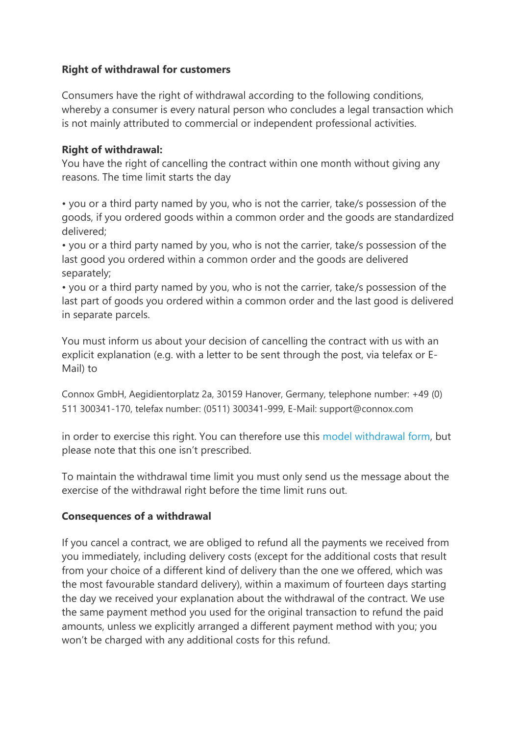## **Right of withdrawal for customers**

Consumers have the right of withdrawal according to the following conditions, whereby a consumer is every natural person who concludes a legal transaction which is not mainly attributed to commercial or independent professional activities.

### **Right of withdrawal:**

You have the right of cancelling the contract within one month without giving any reasons. The time limit starts the day

• you or a third party named by you, who is not the carrier, take/s possession of the goods, if you ordered goods within a common order and the goods are standardized delivered;

• you or a third party named by you, who is not the carrier, take/s possession of the last good you ordered within a common order and the goods are delivered separately;

• you or a third party named by you, who is not the carrier, take/s possession of the last part of goods you ordered within a common order and the last good is delivered in separate parcels.

You must inform us about your decision of cancelling the contract with us with an explicit explanation (e.g. with a letter to be sent through the post, via telefax or E-Mail) to

Connox GmbH, Aegidientorplatz 2a, 30159 Hanover, Germany, telephone number: +49 (0) 511 300341-170, telefax number: (0511) 300341-999, E-Mail: support@connox.com

in order to exercise this right. You can therefore use this [model withdrawal form,](https://www.connox.com/download/Withdrawal-Form.pdf) but please note that this one isn't prescribed.

To maintain the withdrawal time limit you must only send us the message about the exercise of the withdrawal right before the time limit runs out.

#### **Consequences of a withdrawal**

If you cancel a contract, we are obliged to refund all the payments we received from you immediately, including delivery costs (except for the additional costs that result from your choice of a different kind of delivery than the one we offered, which was the most favourable standard delivery), within a maximum of fourteen days starting the day we received your explanation about the withdrawal of the contract. We use the same payment method you used for the original transaction to refund the paid amounts, unless we explicitly arranged a different payment method with you; you won't be charged with any additional costs for this refund.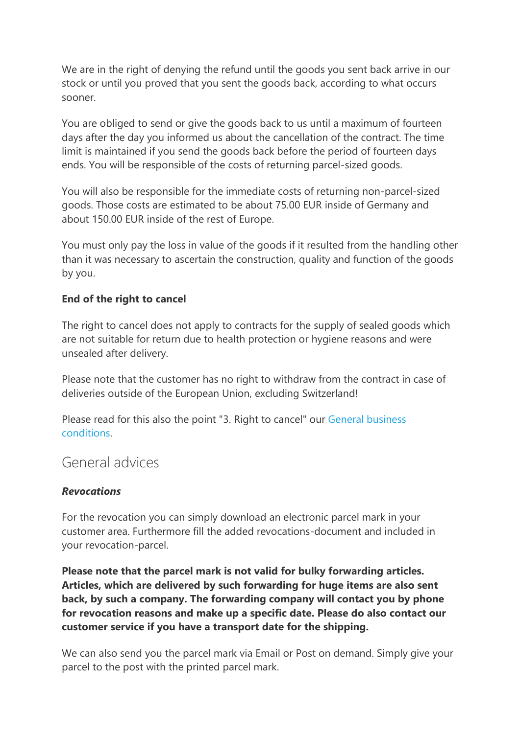We are in the right of denying the refund until the goods you sent back arrive in our stock or until you proved that you sent the goods back, according to what occurs sooner.

You are obliged to send or give the goods back to us until a maximum of fourteen days after the day you informed us about the cancellation of the contract. The time limit is maintained if you send the goods back before the period of fourteen days ends. You will be responsible of the costs of returning parcel-sized goods.

You will also be responsible for the immediate costs of returning non-parcel-sized goods. Those costs are estimated to be about 75.00 EUR inside of Germany and about 150.00 EUR inside of the rest of Europe.

You must only pay the loss in value of the goods if it resulted from the handling other than it was necessary to ascertain the construction, quality and function of the goods by you.

## **End of the right to cancel**

The right to cancel does not apply to contracts for the supply of sealed goods which are not suitable for return due to health protection or hygiene reasons and were unsealed after delivery.

Please note that the customer has no right to withdraw from the contract in case of deliveries outside of the European Union, excluding Switzerland!

Please read for this also the point "3. Right to cancel" our [General business](https://www.connox.com/general-terms-and-conditions.html)  [conditions.](https://www.connox.com/general-terms-and-conditions.html)

# General advices

#### *Revocations*

For the revocation you can simply download an electronic parcel mark in your customer area. Furthermore fill the added revocations-document and included in your revocation-parcel.

**Please note that the parcel mark is not valid for bulky forwarding articles. Articles, which are delivered by such forwarding for huge items are also sent back, by such a company. The forwarding company will contact you by phone for revocation reasons and make up a specific date. Please do also contact our customer service if you have a transport date for the shipping.**

We can also send you the parcel mark via Email or Post on demand. Simply give your parcel to the post with the printed parcel mark.